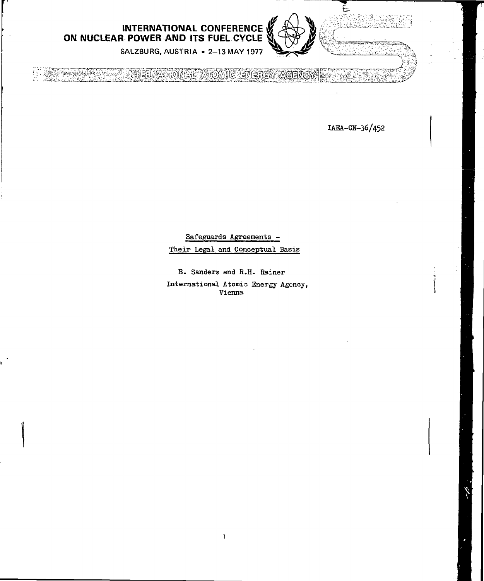

**INTERNATIONAL CONFERENCE ON NUCLEAR POWER AND ITS FUEL CYCLE**

SALZBURG, AUSTRIA • 2-13 MAY 1977

A ANDERS THE REPUBLICATION OF THE POT ANGEMAN

ÏAEA-CN-36/452

Safeguards Agreements -

Their Legal and Conceptual Basis

B. Sanders and R.H. Rainer International Atomic Energy Agency, Vienna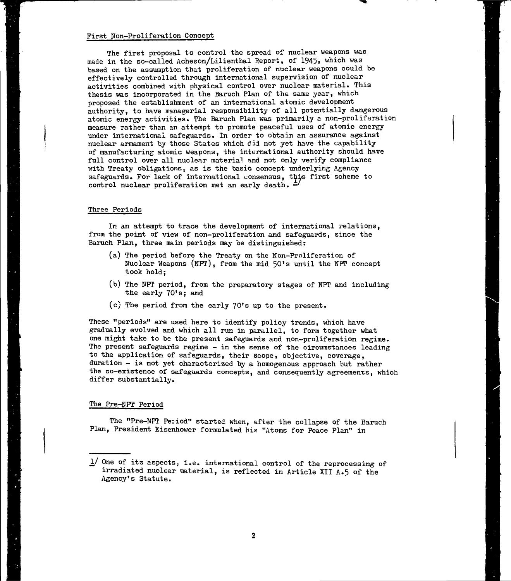#### First Non-Proliferation Concept

The first proposal to control the spread of nuclear weapons was made in the so-called Acheson/Lilienthal Report, of 1945, which was based on the assumption that proliferation of nuclear weapons could be effectively controlled through international supervision of nuclear activities combined with physical control over nuclear material. This thesis was incorporated in the Baruch Plan of the same year, which proposed the establishment of an international atomic development authority, to have managerial responsibility of all potentially dangerous atomic energy activities. The Baruch Plan was primarily a non-proliferation measure rather than an attempt to promote peaceful uses of atomic energy under international safeguards. In order to obtain an assurance against nuclear armament by those States which did not yet have the capability of manufacturing atomic weapons, the international authority should have full control over all nuclear material and not only verify compliance with Treaty obligations, as is the basio concept underlying Agency safeguards. Por lack of international consensus, this first scheme to control nuclear proliferation met an early death. —'

### Three Periods

In an attempt to trace the development of international relations, from the point of view of non-proliferation and safeguards, since the Baruch Plan, three main periods may be distinguished:

- (a) The period before the Treaty on the Non-Proliferation of Nuclear Weapons (NPT), from the mid 50's until the NPT concept took hold;
- (b) The KPT period, from the preparatory stages of NPT and including the early 70's; and
- (c) The period from the early 70's up to the present.

These "periods" are used here to identify policy trends, which have gradually evolved and which all run in parallel, to form together what one might take to be the present safeguards and non-proliferation regime. The present safeguards regime - in the sense of the circumstances leading to the application of safeguards, their scope, objective, coverage, duration - is not yet characterized by a homogenous approach but rather the co-existence of safeguards concepts, and consequently agreements, which differ substantially.

# The Pre-NPP Period

The "Pre-NPT Period" started when, after the collapse of the Baruch Plan, President Eisenhower formulated his "Atoms for Peace Plan" in

 $1/$  One of its aspects; i.e. international control of the reprocessing of irradiated nuclear material, is reflected in Article XII A.5 of the Agency's Statute.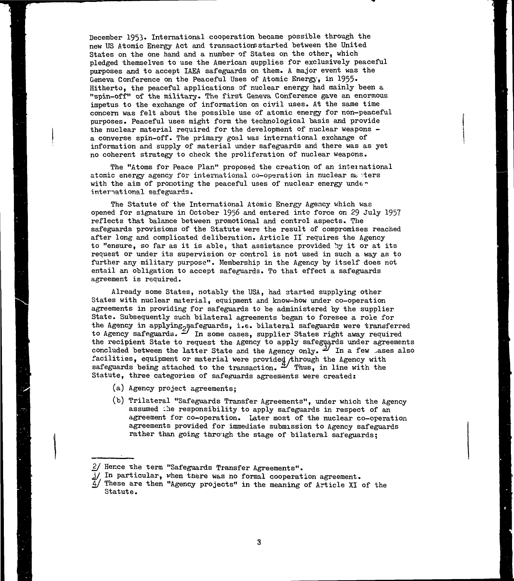December 1953. International cooperation became possible through the new US Atomic Energy Act and transactions started between the United States on the one hand and a number of States on the other, which pledged themselves to use the American supplies for exclusively peaceful purposes and to accept IAEA safeguards on them. A major event was the Geneva Conference on the Peaceful Uses of Atomic Energy, in 1955. Hitherto, the peaceful applications of nuclear energy had mainly been a "spin-off" of the military. The first Geneva Conference gave an enormous impetus to the exchange of information on civil uses. At the same time concern was felt about the possible use of atomic energy for non-peaceful purposes. Peaceful uses might form the technological basis and provide the nuclear material required for the development of nuclear weapons a converse spin-off. The primary goal was international exchange of information and supply of material under safeguards and there was as yet no coherent strategy to check the proliferation of nuclear weapons.

The "Atoms for Peace Plan" proposed the creation of an inteinational atomic energy agency for international co-operation in nuclear  $m_{\tilde{\nu}}$  ters with the aim of promoting the peaceful uses of nuclear energy under international safeguards.

The Statute of the International Atomic Energy Agency which was opened for signature in October 1956 and entered into force on 29 July 1957 reflects that balance between promotional and control aspects. The safeguards provisions of the Statute were the result of compromises reached after long and complicated deliberation. Article II requires the Agency to "ensure, so far as it is able, that assistance provided by it or at its request or under its supervision or control is not used in such a way as to further any military purpose". Membership in the Agency by itself does not entail an obligation to accept safeguards. To that effect a safeguards agreement is required.

Already some States, notably the USA, had started supplying other States with nuclear material, equipment and know-how under co-operation agreements in providing for safeguards to be administered by the supplier State. Subsequently such bilateral agreements began to foresee a role for the Agency in applying<sub>p</sub>safeguards, i.e. bilateral safeguards were transferred to Agency safeguards.  $\frac{2}{\sqrt{2}}$  In some cases, supplier States right away required the recipient State to request the Agency to apply safeguards under agreements concluded between the latter State and the Agency only.  $\frac{1}{2}$  In a few ases also facilities, equipment or material were provided /through the Agency with safeguards being attached to the transaction.  $\overset{\text{\tiny{d}}}{\sim}$  Thus, in line with the Statute, three categories of safeguards agreements were created:

- (a) Agency project agreements;
- (b) Trilateral "Safeguards Transfer Agreements", under which the Agency assumed the responsibility to apply safeguards in respect of an agreement for co-operation. Later most of the nuclear co-operation agreements provided for immediate submission to Agency safeguards rather than going through the stage of bilateral safeguards:

<sup>2/</sup> Hence the term "Safeguards Transfer Agreements".

<sup>3/</sup> In particular, when there was no formal cooperation agreement.

 $\overline{4}$ / These are then "Agency projects" in the meaning of Article XI of the Statute.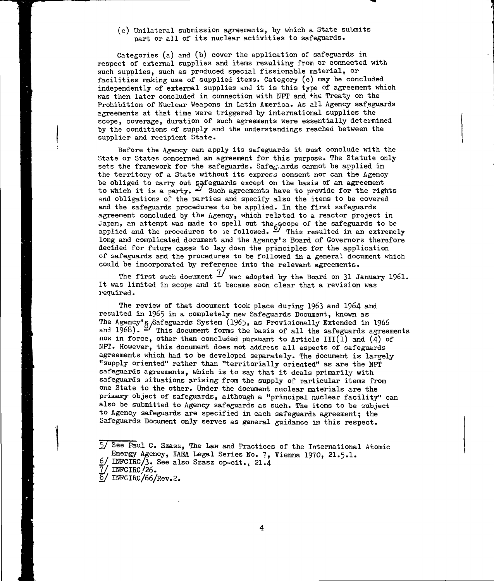(c) Unilateral submission agreements, by which a State submits part or all of its nuclear activities to safeguards.

Categories (a) and (b) cover the application of safeguards in respect of external supplies and items resulting from or connected with such supplies, such as produced special fissionable material, or facilities making use of supplied items. Category (c) may be concluded independently of external supplies and it is this type of agreement which was then later concluded in connection with NPT and the Treaty on the Prohibition of Nuclear Weapons in Latin America. As all Agency safeguards agreements at that time were triggered by international supplies the scope, coverage, duration of such agreements were essentially determined by the conditions of supply and the understandings reached between the supplier and recipient State.

Before the Agency can apply its safeguards it must conclude with the State or States concerned an agreement for this purpose. The Statute only sets the framework for the safeguards. Safe $_{\rm F}$  ards cannot be applied in the territory of a State without its express consent nor can the Agency be obliged to carry out safeguards except on the basis of an agreement to which it is a party.  $\leq$  Such agreements have to provide for the rights and obligations of the parties and specify also the items to be covered and the safeguards procedures to be applied. In the first safeguards agreement concluded by the Agency, which related to a reactor project in Japan, an attempt was made to spell out the scope of the safeguards to be applied and the procedures to be followed.  $\overset{\sim}{\sim}$  This resulted in an extremely long and complicated document and the Agency's Board of Governors therefore decided for future cases to lay down the principles for the application of safeguards and the procedures to be followed in a general document which could be incorporated by reference into the relevant agreements.

The first such document  $1/$  was adopted by the Board on 31 January 1961. It was limited in scope and it became soon clear that a revision was required.

The review of that document took place during 1963 and 1964 and resulted in 1965 in a completely new Safeguards Document, known as The Agency's Safeguards System (1965, as Provisionally Extended in 1966 and 1968).  $\cong$  This document forms the basis of all the safeguards agreements now in force, other than concluded pursuant to Article III(1) and (4) of NPT. However, this document does not address all aspects of safeguards agreements which had to be developed separately. The document is largely "supply oriented" rather than "territorially oriented" as are the NFT safeguards agreements, which is to say that it deals primarily with safeguards situations arising from the supply of particular items from one State to the other. Under the document nuclear materials are the primary object of safeguards, although a "principal nuclear facility" can also be submitted to Agency safeguards as such. The items to be subject to Agency safeguards are specified in each safeguards agreement; the Safeguards Document only serves as general guidance in this respect.

jj/ See Paul C. Szasa, The Law and Practices of the International Atomic Energy Agency, IAEA Legal Series Ho. 7, Vienna 1970, 21.5.1.

 $6/$  INFCIRC/3. See also Szasz op-cit., 21.4

 $7/$  INFCIRC/26.

 $\frac{8}{ }$  INFCIRC/66/Rev.2.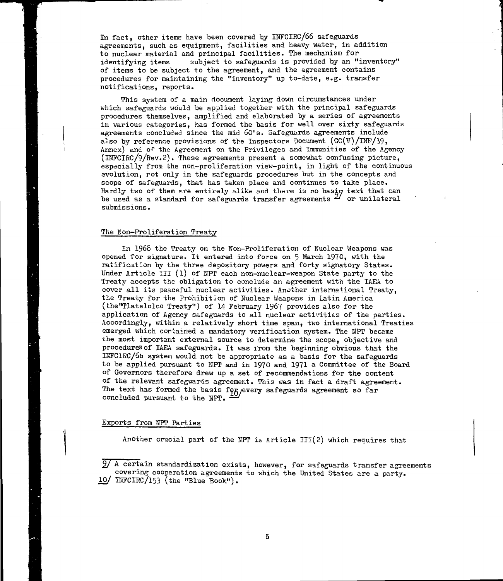In fact, other items have been covered by INFCIRC/66 safeguards agreements, such as equipment, facilities and heavy water, in addition to nuclear material and principal facilities. The mechanism for identifying items subject to safeguards is provided by an "inventory" of items to be subject to the agreement, and the agreement contains procedures for maintaining the "inventory" up to-date, e.g. transfer notifications, reports.

This system of a main document laying down circumstances under which safeguards would be applied together with the principal safeguards procedures themselves, amplified and elaborated by a series of agreements in various categories, has formed the basis for well over sixty safeguards agreements concluded since the mid 60's. Safeguards agreements include also by reference provisions of the Inspectors Document  $(GC(V)/INF/39$ . Annex) and of the Agreement on the Privileges and Immunities of the Agency (INFCIRC/9/Rev.2). These agreements present a somewhat confusing picture, especially from the non-proliferation view-point, in light of the continuous evolution, rot only in the safeguards procedures but in the concepts and scope of safeguards, that has taken place and continues to take place. Hardly two of them are entirely alike and there is no basio text that can be used as a standard for safeguards transfer agreements  $z^{\prime\prime}$  or unilateral submissions.

#### The Non-Proliferation Treaty

in 1968 the Treaty on the Won-Prolifération of Nuclear Weapons was opened for signature. It entered into force on 5 March 1970, with the ratification by the three depository powers and forty signatory States. Under Article III  $(1)$  of NPT each non-nuclear-weapon State party to the Treaty accepts the obligation to conclude an agreement with the IAEA to cover all its peaceful nuclear activities. Another international Treaty, the Treaty for the Prohibition of Nuclear Weapons in Latin America (bhe"Tlatelolco Treaty") of 14 February I967 provides also for the application of Agency safeguards to all nuclear activities of the parties. Accordingly, within a relatively short time span, two international Treaties emerged which corlained a mandatory verification system. The NPT became the most important external source to determine the scope, objective and procedures of IAEA safeguards. It was irom the beginning obvious that the INFCIRC/66 system would not be appropriate as a basis for the safeguards to be applied pursuant to NPT and in 1970 and 1971 a Committee of the Board of Governors therefore drew up a set of recommendations for the content of the relevant safeguards agreement. This was in fact a draft agreement. The text has formed the basis fog every safeguards agreement so far concluded pursuant to the NPT.

# Exports frcm NPT Parties

Another crucial part of the NPT is Article  $III(2)$  which requires that

9/ A certain standardization exists, however, for safeguards transfer agreements covering cooperation agreements to which the United States are a party.  $10/$  INFCIRC/153 (the "Blue Book").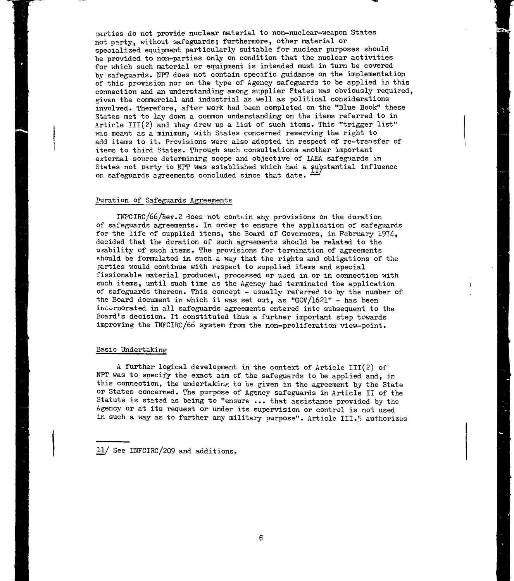parties do not provide nuclear material to non-nuclear-weapon States not party, without safeguards; furthermore, other material or socialized equipment particularly suitable for nuclear purposes should be provided to non-parties only on condition that the nuclear activities for which such material or equipment is intended must in turn be covered by safeguards. NPT does not contain specific guidance on the implementation of this provision nor on the type of Agency safeguards to be applied in this connection and an understanding among sxipplier States was obviously required, given the commercial and industrial as well as political considerations involved. Therefore, after work had been completed on the "Blue Book" these States met to lay down a common understanding on the items referred to in Article  $III(2)$  and they drew up a list of such items. This "trigger list" was meant as a minimum, with States concerned reserving the right to add items to it. Provisions were also adopted in respect of re-transfer of itens to third States. Through such consultations another important external source determining scope and objective of IAEA safeguards in States not party to NPT was established which had a substantial influence on safeguards agreements concluded since that date.

### Duration of Safeguards Agreements

INF'CIRC/66/Rev.2 does not contain any provisions on the duration of safeguards agreements. In order to ensure the application of safeguards for the life of supplied items, the Board of Governors, in February 1974, decided that the duration of such agreements should be related to the usability of such items. The provisions for termination of agreements should be formulated in such a way that the rights and obligations of the parties would continue with respect to supplied items and special fissionable material produced, processed or ujed in or in connection with such items, until such time as the Agency had terminated the application of safeguards thereon. This concept - usually referred to by the number of the Board document in which it was set out, as "GOV/1621" - has been incorporated in all safeguards agreements entered into subsequent to the Board's decision. It constituted thus a further important step towards improving the DiFCIRC/66 system from the non-proliferation view-point.

### Basic Undertaking:

A further logical development in the context of Article 111(2) of NPT was to specify the exact aim of the safeguards to be applied and, in this connection, the undertaking to be given in the agreement by the State or States concerned. The purpose of Agency safeguards in Article II of the Statute is stated as being to "ensure ... that assistance provided by the Agency or at its request or under its supervision or control is not used in such a way as to further any military purpose". Article III.5 authorizes

 $11/$  See INFCIRC/209 and additions.

6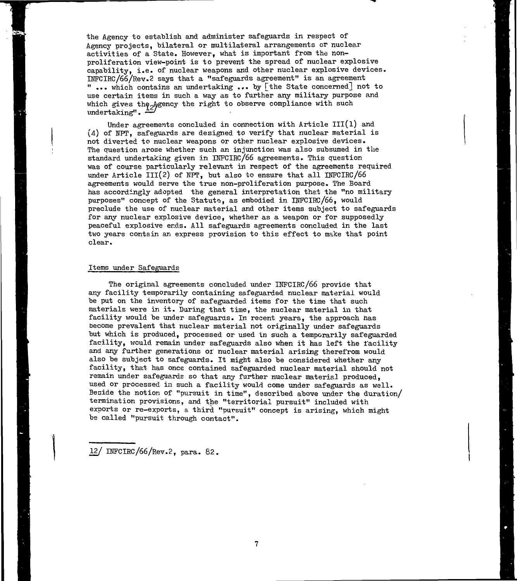the Agency to establish and administer safeguards in respect of Agency projects, bilateral or multilateral arrangements or nuclear activities of a State. However, what is important from the nonproliferation view-point is to prevent the spread of nuclear explosive capability, i.e. of nuclear weapons and other nuclear explosive devices. INFCIRC/66/Rev.2 says that a "safeguards agreement" is an agreement " ... which contains an undertaking ... by [the State concerned] not to use certain items in such a way as to further any military purpose and which gives the  $A$ gency the right to observe compliance with such undertaking".  $\frac{1}{2}$ 

Under agreements concluded in connection with Article  $III(1)$  and (4) of NPT, safeguards are designed to verify that nuclear material is not diverted to nuclear weapons or other nuclear explosive devices. The question arose whether such an injunction was also subsumed in the standard undertaking given in MFCIRC/66 agreements. This question was of course particularly relevant in respect of the agreements required under Article  $III(2)$  of NPT, but also to ensure that all INFCIRC/66 agreements would serve the true non-proliferation purpose. The Board has accordingly adopted the general interpretation that the "no military purposes" concept of the Statuts, as embodied in INFCIRC/66, would preclude the use of nuclear material and other items subject to safeguards for any nuclear explosive device, whether as a weapon or for supposedly peaceful explosive ends. All safeguards agreements concluded in the last two years contain an express provision to this effect to make that point clear.

### Items under Safeguards

The original agreements concluded under INFCIRC/66 provide that any facility temporarily containing safeguarded nuclear material would be put on the inventory of safeguarded items for the time that such materials were in it. During that time, the nuclear material in that facility would be under safeguards. In recent years, the approach has become prevalent that nuclear material not originally under safeguards but which is produced, processed or used in such a temporarily safeguarded facility, would remain under safeguards also when it has left the facility and any further generations or nuclear material arising therefrom would also be subject to safeguards. It might also be considered whether any facility, that has once contained safeguarded nuclear material should not remain under safeguards so that any further nuclear material produced, used or processed in such a facility would come under safeguards as well. Beside the notion of "pursuit in time", described above under the duration/ termination provisions, and the "territorial pursuit" included with exports or re-exports, a third "pursuit" concept is arising, which might be called "pursuit through contact".

12/ IKFCIRC/66/Rev.2, para. 82.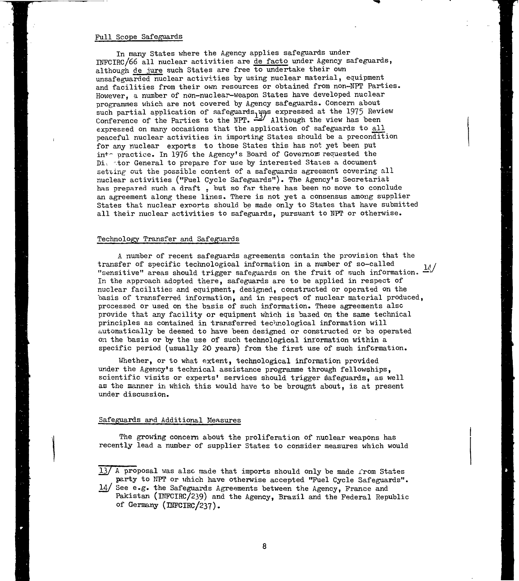#### Pull Scope Safeguards

In many States where the Agency applies safeguards under INFCIRC/66 all nuclear activities are de facto under Agency safeguards, although de jure such States are free to undertake their own unsafeguarded nuclear activities by using nuclear material, equipment and facilities from their own resources or obtained from non-NPT Parties. However, a number of non-nuclear-weapon States have developed nuclear programmes which are not covered by Agency safeguards. Concern about such partial application of safeguards.yas expressed at the 1975 Review Conference of the Parties to the NPT.  $\stackrel{\sim}{\sim}$  Although the view has been expressed on many occasions that the application of safeguards to all peaceful nuclear activities in importing States should be a precondition for any nuclear exports to those States this has not yet been put into practice. In 1976 the Agency's Board of Governors requested the Die tor General to prepare for use by interested States a document setting out the possible content of a safeguards agreement covering all nuclear activities ("Fuel Cycle Safeguards"). The Agency's Secretariat has prepared such a draft, but so far there has been no move to conclude an agreement along these lines. There is not yet a consensus among supplier States that nuclear exports should be made only to States that have submitted all their nuclear activities to safeguards, pursuant to NPT or otherwise.

# Technology Transfer and Safeguards

A number of recent safeguards agreements contain the provision that the transfer of soecific technological information in a number of so-called transfer of specific technological information in a number of so-called  $\frac{1}{10}$ "sensitive" areas should trigger safeguards on the fruit of such information.  $-1$ In the approach adopted there, safeguards are to be applied in respect of nuclear facilities and equipment, designed, constructed or operated on the basis of transferred information, and in respect of nuclear material produced, processed or used on the basis of such information. These agreements also provide that any facility or equipment which is based on the same technical principles as contained in transferred technological information will automatically be deemed to have been designed or constructed or bs operated on the basis or by the use of such technological information within a specific period (usually 20 years) from the first use of such information.

Whether, or to what extent, technological information provided under the Agency's technical assistance programme through fellowships, scientific visits or experts' services should trigger safeguards, as well as the manner in which this would have to be brought about, is at present under discussion.

#### Safeguards ard Additional Measures

The growing concern about the proliferation of nuclear weapons has recently lead a number of supplier States to consider measures which would

<sup>13/</sup> A proposal was also made that imports should only be made from States party to NPT or which have otherwise accepted "Fuel Cycle Safeguards".

 $14/$  See e.g. the Safeguards Agreements between the Agency, France and Pakistan (INFCIRC/239) and the Agency, Brazil and the Federal Republic of Germany (INFCIRC/237).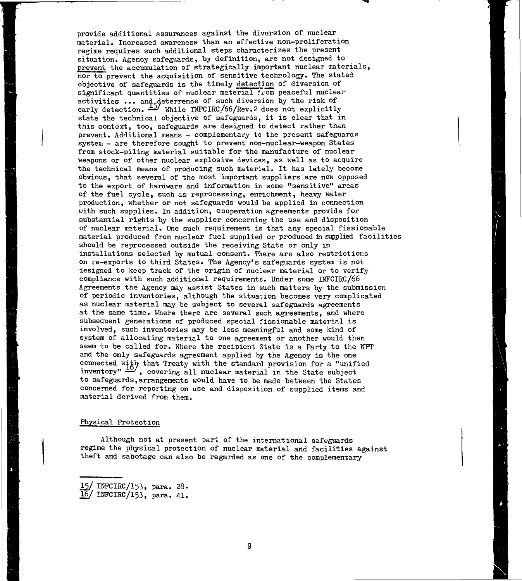provide additional assurances against the diversion of nuclear material. Increased awareness than an effective non-proliferation regime requires such additional steps characterizes the present situation. Agency safeguards, by definition, are not designed to prevent the accumulation of strategically important nuclear materials, nor to prevent the acquisition of sensitive technology. The stated objective of safeguards is the timely detection of diversion of significant quantities of nuclear material from peaceful nuclear activities ... and deterrence of such diversion by the risk of early detection.  $\cong$  While INFCIRC/66/Rev.2 does not explicitly state the technical objective of safeguards, it is clear that in this context, too, safeguards are designed to detect rather than prevent. Additional means - complementary to the present safeguards system - are therefore sought to prevent non-nuclear-weapon States from stock-piling material suitable for the manufacture of nuclear weapons or of other nuclear explosive devices, as well as to acquire the technical means of producing such material. It has lately become obvious, that several of the most important suppliers are now opposed to the export of hardware and information in some "sensitive" areas of the fuel cycle, such as reprocessing, enrichment, heavy water production, whether or not safeguards would be applied in connection with such supplies. In addition, cooperation agreements provide for substantial rights by the supplier concerning the use and disposition of nuclear material. One such requirement is that any special fissionable material produced from nuclear fuel supplied or produced in supplied facilities should be reprocessed outside the receiving State or only in installations selected by mutual consent. There are also restrictions on re-exports to third States. The Agency's safeguards system is not designed to keep track of the origin of nuclear material or to verify compliance with such additional requirements. Under some IHFCIRC/66 Agreements the Agency may assist States in such matters by the submission of periodic inventories, although the situation becomes very complicated as nuclear material may be subject to several safeguards agreements at the same time. Where there are several such agreements, and where subsequent generations of produced special fissionable material is involved, such inventories may be less meaningful and some kind of system of allocating material to one agreement or another would then seem to be called for. Where the recipient State is a Party to the NPT and the only safeguards agreement applied by the Agency is the one connected with that Treaty with the standard provision for a "unified inventory"  $\equiv$  , covering all nuclear material in the State subject to safeguards,arrangements would have to be made between the States concerned for reporting on use and disposition of supplied items and material derived from them.

### Physical Protection

Although not at present part of the international safeguards regime the physical protection of nuclear material and facilities against theft and sabotage can also be regarded as one of the complementary

 $INFCIRC/153, para. 28.$ 

 $'$  INFCIRC/153, para. 41.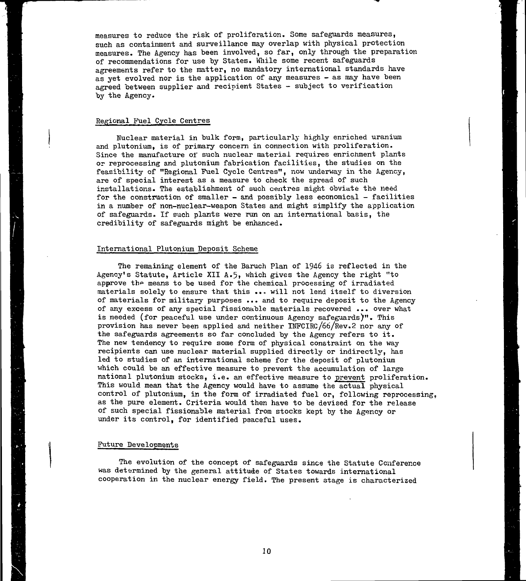measures to reduce the risk of proliferation. Some safeguards measures, such as containment and surveillance may overlap with physical protection measures. The Agency has been involved, so far, only through the preparation of recommendations for use by States. While some recent safeguards agreements refer to the matter, no mandatory international standards have as yet evolved nor is the application of any measures - as may have been agreed between supplier and recipient States - subject to verification by the Agency.

### Regional Fuel Cycle Centres

Nuclear material in bulk form, particularly highly enriched uranium and plutonium, is of primary concern in connection with proliferation. Since the manufacture of such nuclear material requires enrichment plants or reprocessing and plutonium fabrication facilities, the studies on the feasibility of "Regional Fuel Cycle Centres", now underway in the Agency, are of special interest as a measure to check the spread of such installations. The establishment of such centres might obviate the need for the construction of smaller - and possibly less economical - facilities in a number of non-nuclear-weapon States and might simplify the application of safeguards. If such plants were run on an international basis, the credibility of safeguards might be enhanced.

#### International Plutonium Deposit Scheme

The remaining element of the Baruch Plan of 1946 is reflected in the Agency's Statute, Article XII A.5» which gives the Agency the right "to approve the means to be used for the chemical processing of irradiated materials solely to ensure that this ..» will not lend itself to diversion of materials for military purposes ... and to require deposit to the Agency of any excess of any special fissionable materials recovered ... over what is needed (for peaceful use under continuous Agency safeguards)". This provision has never been applied and neither INFCIRC/66/Rev.2 nor any of the safeguards agreements so far concluded by the Agency refers to it. The new tendency to require some form of physical constraint on the way recipients can use nuclear material supplied directly or indirectly, has led to studies of an international scheme for the deposit of plutonium which could be an effective measure to prevent the accumulation of large national plutonium stocks, i.e. an effective measure to prevent proliferation. This would mean that the Agency would have to assume the actual physical control of plutonium, in the form of irradiated fuel or, following reprocessing, as the pure element. Criteria would then have to be devised for the release of such special fissionable material from stocks kept by the Agency or under its control, for identified peaceful uses.

#### Future Developments

The evolution of the concept of safeguards since the Statute Conference was determined by the general attitude of States towards international cooperation in the nuclear energy field. The present stage is characterized